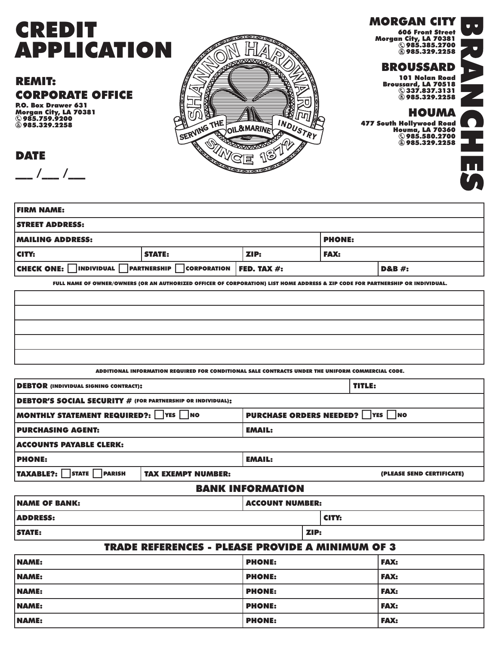# **CREDIT** APPLICATION

## REMIT: CORPORATE OFFICE

P.O. Box Drawer 631 Morgan City, LA 70381 985.759.9200 **985.329.2258** 

 $\frac{\ }{\ }$  /\_\_ /\_\_

DATE



### MORGAN CITY

606 Front Street Morgan City, LA 70381 985.385.2700 985.329.2258

#### BROUSSARD

101 Nolan Road Broussard, LA 70518 337.837.3131 985.329.2258

HOUMA 477 South Hollywood Road Houma, LA 70360

985.580.2700 985.329.2258



 $\bullet$ 

| <b>FIRM NAME:</b>                                                                                     |      |             |  |  |
|-------------------------------------------------------------------------------------------------------|------|-------------|--|--|
| <b>STREET ADDRESS:</b>                                                                                |      |             |  |  |
| <b>MAILING ADDRESS:</b><br><b>PHONE:</b>                                                              |      |             |  |  |
| <b>STATE:</b>                                                                                         | ZIP: | <b>FAX:</b> |  |  |
| CHECK ONE: $\Box$ individual $\Box$ partnership $\Box$ corporation   FED. TAX #:<br><b>D&amp;B</b> #: |      |             |  |  |
|                                                                                                       |      |             |  |  |

FULL NAME OF OWNER/OWNERS (OR AN AUTHORIZED OFFICER OF CORPORATION) LIST HOME ADDRESS & ZIP CODE FOR PARTNERSHIP OR INDIVIDUAL.

ADDITIONAL INFORMATION REQUIRED FOR CONDITIONAL SALE CONTRACTS UNDER THE UNIFORM COMMERCIAL CODE.

| <b>DEBTOR</b> (INDIVIDUAL SIGNING CONTRACT):                                  |                           | TITLE:        |                           |  |
|-------------------------------------------------------------------------------|---------------------------|---------------|---------------------------|--|
| <b>DEBTOR'S SOCIAL SECURITY # (FOR PARTNERSHIP OR INDIVIDUAL):</b>            |                           |               |                           |  |
| <b>PURCHASE ORDERS NEEDED?</b> PES NO<br>MONTHLY STATEMENT REQUIRED?: TYES NO |                           |               |                           |  |
| <b>PURCHASING AGENT:</b>                                                      | <b>EMAIL:</b>             |               |                           |  |
| <b>ACCOUNTS PAYABLE CLERK:</b>                                                |                           |               |                           |  |
| <b>PHONE:</b>                                                                 |                           | <b>EMAIL:</b> |                           |  |
| <b>TAXABLE?:</b> STATE PARISH                                                 | <b>TAX EXEMPT NUMBER:</b> |               | (PLEASE SEND CERTIFICATE) |  |
| <b>DANIY INEARMATIAN</b>                                                      |                           |               |                           |  |

#### BANK INFORMATION

| <b>INAME OF BANK:</b>                              | ACCOUNT NUMBER: |  |  |  |
|----------------------------------------------------|-----------------|--|--|--|
| <b>ADDRESS:</b>                                    | CITY:           |  |  |  |
| <b>STATE:</b>                                      | ZIP:            |  |  |  |
| TDADE DEFEDENCES – DI FASE DDAVIDE A MINIMIIM OF 3 |                 |  |  |  |

| INABE NEI ENEIVER – I EEABE I NYVIBE A MINIMUM VI V |               |             |  |  |
|-----------------------------------------------------|---------------|-------------|--|--|
| NAME:                                               | <b>PHONE:</b> | <b>FAX:</b> |  |  |
| NAME:                                               | <b>PHONE:</b> | <b>FAX:</b> |  |  |
| NAME:                                               | <b>PHONE:</b> | <b>FAX:</b> |  |  |
| NAME:                                               | <b>PHONE:</b> | <b>FAX:</b> |  |  |
| NAME:                                               | <b>PHONE:</b> | <b>FAX:</b> |  |  |